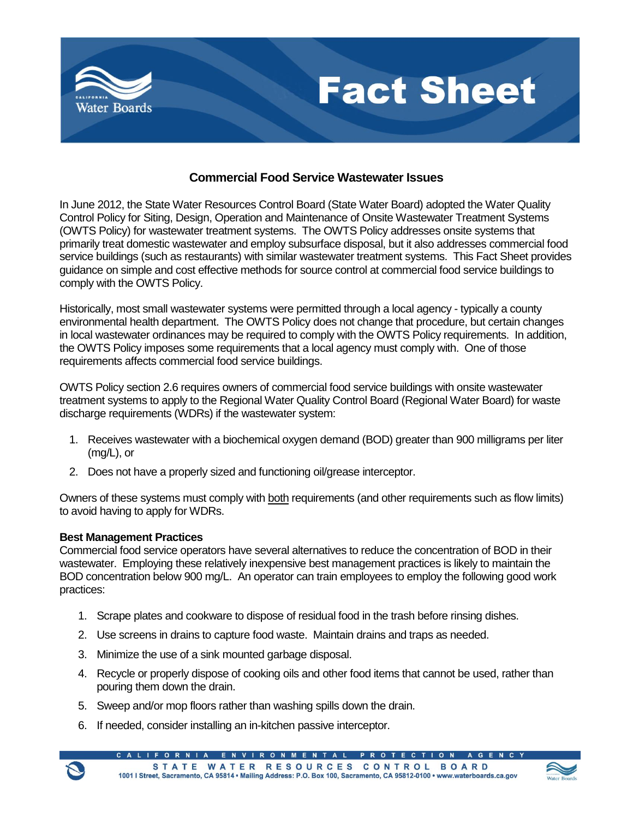

## **Commercial Food Service Wastewater Issues**

In June 2012, the State Water Resources Control Board (State Water Board) adopted the Water Quality Control Policy for Siting, Design, Operation and Maintenance of Onsite Wastewater Treatment Systems (OWTS Policy) for wastewater treatment systems. The OWTS Policy addresses onsite systems that primarily treat domestic wastewater and employ subsurface disposal, but it also addresses commercial food service buildings (such as restaurants) with similar wastewater treatment systems. This Fact Sheet provides guidance on simple and cost effective methods for source control at commercial food service buildings to comply with the OWTS Policy.

Historically, most small wastewater systems were permitted through a local agency - typically a county environmental health department. The OWTS Policy does not change that procedure, but certain changes in local wastewater ordinances may be required to comply with the OWTS Policy requirements. In addition, the OWTS Policy imposes some requirements that a local agency must comply with. One of those requirements affects commercial food service buildings.

OWTS Policy section 2.6 requires owners of commercial food service buildings with onsite wastewater treatment systems to apply to the Regional Water Quality Control Board (Regional Water Board) for waste discharge requirements (WDRs) if the wastewater system:

- 1. Receives wastewater with a biochemical oxygen demand (BOD) greater than 900 milligrams per liter (mg/L), or
- 2. Does not have a properly sized and functioning oil/grease interceptor.

Owners of these systems must comply with both requirements (and other requirements such as flow limits) to avoid having to apply for WDRs.

## **Best Management Practices**

Commercial food service operators have several alternatives to reduce the concentration of BOD in their wastewater. Employing these relatively inexpensive best management practices is likely to maintain the BOD concentration below 900 mg/L. An operator can train employees to employ the following good work practices:

- 1. Scrape plates and cookware to dispose of residual food in the trash before rinsing dishes.
- 2. Use screens in drains to capture food waste. Maintain drains and traps as needed.
- 3. Minimize the use of a sink mounted garbage disposal.
- 4. Recycle or properly dispose of cooking oils and other food items that cannot be used, rather than pouring them down the drain.
- 5. Sweep and/or mop floors rather than washing spills down the drain.
- 6. If needed, consider installing an in-kitchen passive interceptor.